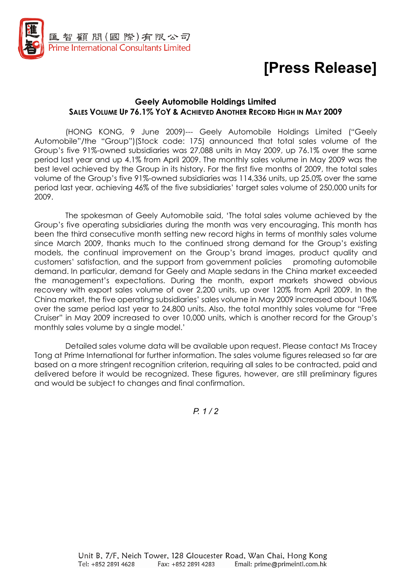

## [Press Release]

## Geely Automobile Holdings Limited SALES VOLUME UP 76.1% YOY & ACHIEVED ANOTHER RECORD HIGH IN MAY 2009

(HONG KONG, 9 June 2009)--- Geely Automobile Holdings Limited ("Geely Automobile"/the "Group")(Stock code: 175) announced that total sales volume of the Group's five 91%-owned subsidiaries was 27,088 units in May 2009, up 76.1% over the same period last year and up 4.1% from April 2009. The monthly sales volume in May 2009 was the best level achieved by the Group in its history. For the first five months of 2009, the total sales volume of the Group's five 91%-owned subsidiaries was 114,336 units, up 25.0% over the same period last year, achieving 46% of the five subsidiaries' target sales volume of 250,000 units for 2009.

The spokesman of Geely Automobile said, 'The total sales volume achieved by the Group's five operating subsidiaries during the month was very encouraging. This month has been the third consecutive month setting new record highs in terms of monthly sales volume since March 2009, thanks much to the continued strong demand for the Group's existing models, the continual improvement on the Group's brand images, product quality and customers' satisfaction, and the support from government policies promoting automobile demand. In particular, demand for Geely and Maple sedans in the China market exceeded the management's expectations. During the month, export markets showed obvious recovery with export sales volume of over 2,200 units, up over 120% from April 2009. In the China market, the five operating subsidiaries' sales volume in May 2009 increased about 106% over the same period last year to 24,800 units. Also, the total monthly sales volume for "Free Cruiser" in May 2009 increased to over 10,000 units, which is another record for the Group's monthly sales volume by a single model.'

Detailed sales volume data will be available upon request. Please contact Ms Tracey Tong at Prime International for further information. The sales volume figures released so far are based on a more stringent recognition criterion, requiring all sales to be contracted, paid and delivered before it would be recognized. These figures, however, are still preliminary figures and would be subject to changes and final confirmation.

 $P$  1/2